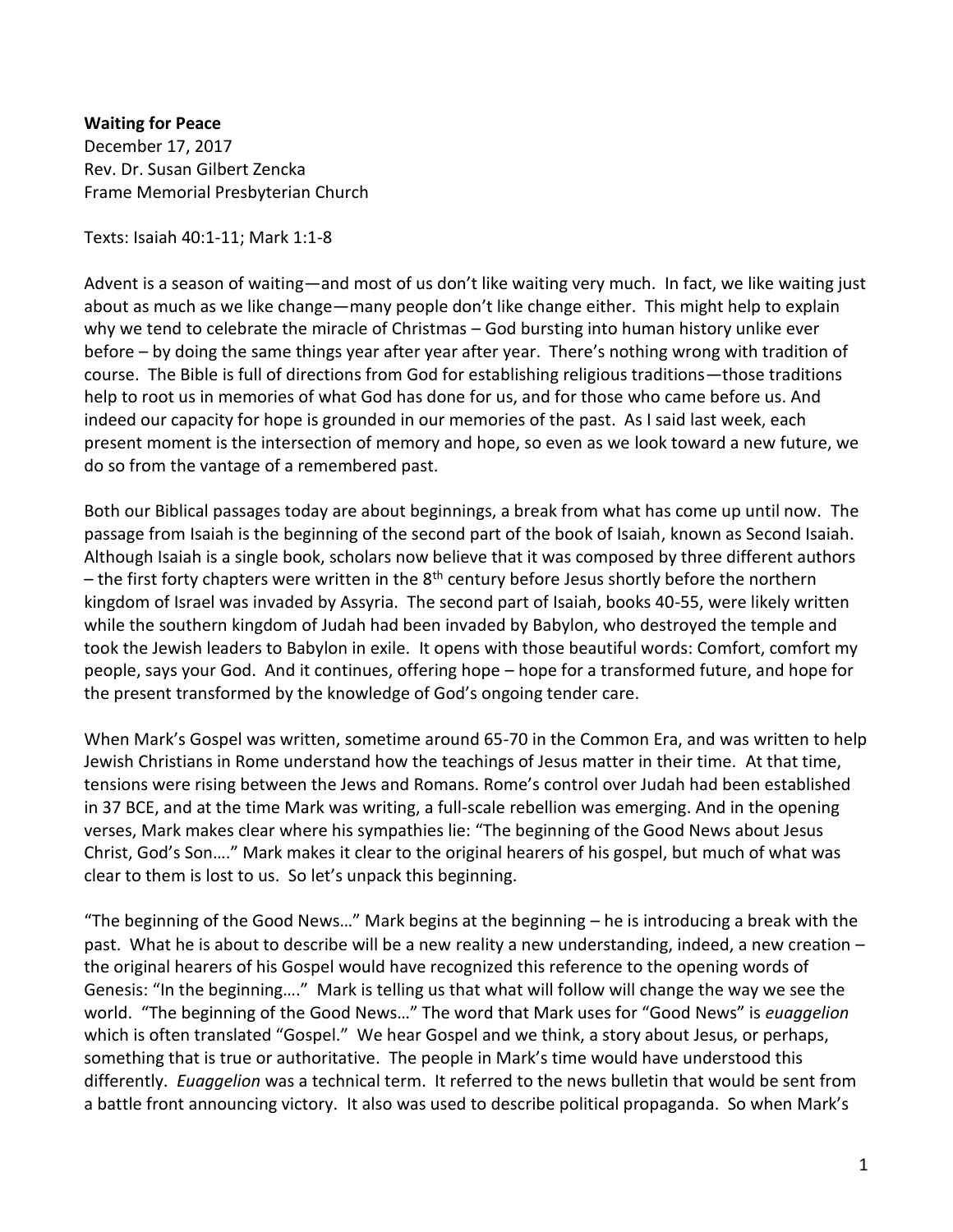**Waiting for Peace** December 17, 2017 Rev. Dr. Susan Gilbert Zencka Frame Memorial Presbyterian Church

Texts: Isaiah 40:1-11; Mark 1:1-8

Advent is a season of waiting—and most of us don't like waiting very much. In fact, we like waiting just about as much as we like change—many people don't like change either. This might help to explain why we tend to celebrate the miracle of Christmas – God bursting into human history unlike ever before – by doing the same things year after year after year. There's nothing wrong with tradition of course. The Bible is full of directions from God for establishing religious traditions—those traditions help to root us in memories of what God has done for us, and for those who came before us. And indeed our capacity for hope is grounded in our memories of the past. As I said last week, each present moment is the intersection of memory and hope, so even as we look toward a new future, we do so from the vantage of a remembered past.

Both our Biblical passages today are about beginnings, a break from what has come up until now. The passage from Isaiah is the beginning of the second part of the book of Isaiah, known as Second Isaiah. Although Isaiah is a single book, scholars now believe that it was composed by three different authors – the first forty chapters were written in the  $8<sup>th</sup>$  century before Jesus shortly before the northern kingdom of Israel was invaded by Assyria. The second part of Isaiah, books 40-55, were likely written while the southern kingdom of Judah had been invaded by Babylon, who destroyed the temple and took the Jewish leaders to Babylon in exile. It opens with those beautiful words: Comfort, comfort my people, says your God. And it continues, offering hope – hope for a transformed future, and hope for the present transformed by the knowledge of God's ongoing tender care.

When Mark's Gospel was written, sometime around 65-70 in the Common Era, and was written to help Jewish Christians in Rome understand how the teachings of Jesus matter in their time. At that time, tensions were rising between the Jews and Romans. Rome's control over Judah had been established in 37 BCE, and at the time Mark was writing, a full-scale rebellion was emerging. And in the opening verses, Mark makes clear where his sympathies lie: "The beginning of the Good News about Jesus Christ, God's Son…." Mark makes it clear to the original hearers of his gospel, but much of what was clear to them is lost to us. So let's unpack this beginning.

"The beginning of the Good News…" Mark begins at the beginning – he is introducing a break with the past. What he is about to describe will be a new reality a new understanding, indeed, a new creation – the original hearers of his Gospel would have recognized this reference to the opening words of Genesis: "In the beginning…." Mark is telling us that what will follow will change the way we see the world. "The beginning of the Good News…" The word that Mark uses for "Good News" is *euaggelion* which is often translated "Gospel." We hear Gospel and we think, a story about Jesus, or perhaps, something that is true or authoritative. The people in Mark's time would have understood this differently. *Euaggelion* was a technical term. It referred to the news bulletin that would be sent from a battle front announcing victory. It also was used to describe political propaganda. So when Mark's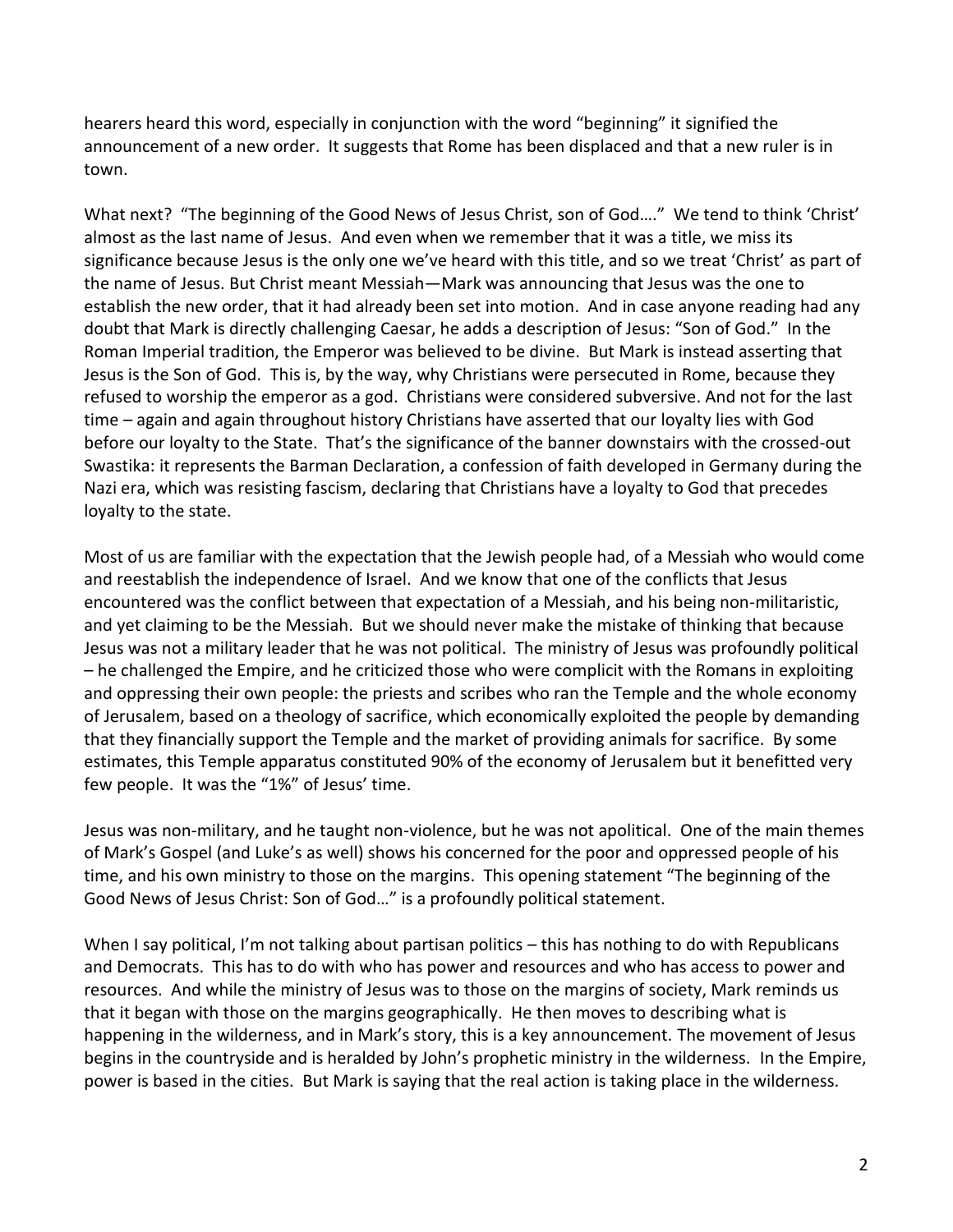hearers heard this word, especially in conjunction with the word "beginning" it signified the announcement of a new order. It suggests that Rome has been displaced and that a new ruler is in town.

What next? "The beginning of the Good News of Jesus Christ, son of God…." We tend to think 'Christ' almost as the last name of Jesus. And even when we remember that it was a title, we miss its significance because Jesus is the only one we've heard with this title, and so we treat 'Christ' as part of the name of Jesus. But Christ meant Messiah—Mark was announcing that Jesus was the one to establish the new order, that it had already been set into motion. And in case anyone reading had any doubt that Mark is directly challenging Caesar, he adds a description of Jesus: "Son of God." In the Roman Imperial tradition, the Emperor was believed to be divine. But Mark is instead asserting that Jesus is the Son of God. This is, by the way, why Christians were persecuted in Rome, because they refused to worship the emperor as a god. Christians were considered subversive. And not for the last time – again and again throughout history Christians have asserted that our loyalty lies with God before our loyalty to the State. That's the significance of the banner downstairs with the crossed-out Swastika: it represents the Barman Declaration, a confession of faith developed in Germany during the Nazi era, which was resisting fascism, declaring that Christians have a loyalty to God that precedes loyalty to the state.

Most of us are familiar with the expectation that the Jewish people had, of a Messiah who would come and reestablish the independence of Israel. And we know that one of the conflicts that Jesus encountered was the conflict between that expectation of a Messiah, and his being non-militaristic, and yet claiming to be the Messiah. But we should never make the mistake of thinking that because Jesus was not a military leader that he was not political. The ministry of Jesus was profoundly political – he challenged the Empire, and he criticized those who were complicit with the Romans in exploiting and oppressing their own people: the priests and scribes who ran the Temple and the whole economy of Jerusalem, based on a theology of sacrifice, which economically exploited the people by demanding that they financially support the Temple and the market of providing animals for sacrifice. By some estimates, this Temple apparatus constituted 90% of the economy of Jerusalem but it benefitted very few people. It was the "1%" of Jesus' time.

Jesus was non-military, and he taught non-violence, but he was not apolitical. One of the main themes of Mark's Gospel (and Luke's as well) shows his concerned for the poor and oppressed people of his time, and his own ministry to those on the margins. This opening statement "The beginning of the Good News of Jesus Christ: Son of God…" is a profoundly political statement.

When I say political, I'm not talking about partisan politics – this has nothing to do with Republicans and Democrats. This has to do with who has power and resources and who has access to power and resources. And while the ministry of Jesus was to those on the margins of society, Mark reminds us that it began with those on the margins geographically. He then moves to describing what is happening in the wilderness, and in Mark's story, this is a key announcement. The movement of Jesus begins in the countryside and is heralded by John's prophetic ministry in the wilderness. In the Empire, power is based in the cities. But Mark is saying that the real action is taking place in the wilderness.